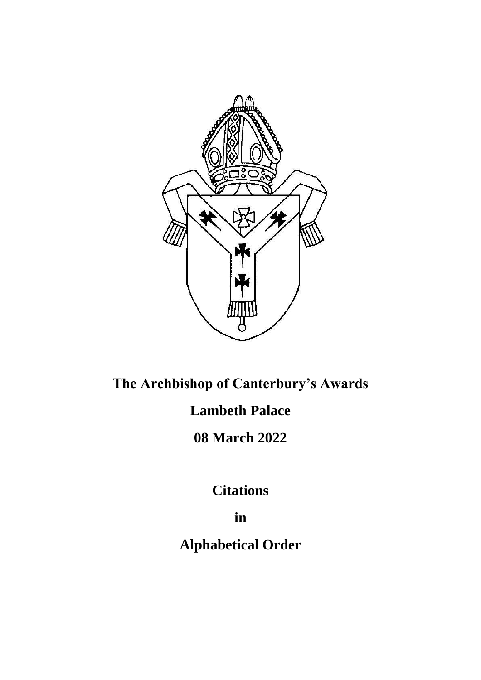

# **The Archbishop of Canterbury's Awards Lambeth Palace 08 March 2022**

**Citations**

**in**

**Alphabetical Order**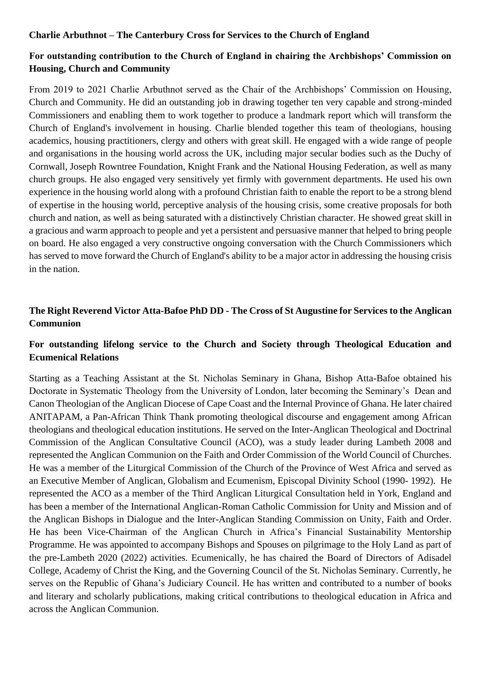#### **Charlie Arbuthnot – The Canterbury Cross for Services to the Church of England**

# **For outstanding contribution to the Church of England in chairing the Archbishops' Commission on Housing, Church and Community**

From 2019 to 2021 Charlie Arbuthnot served as the Chair of the Archbishops' Commission on Housing, Church and Community. He did an outstanding job in drawing together ten very capable and strong-minded Commissioners and enabling them to work together to produce a landmark report which will transform the Church of England's involvement in housing. Charlie blended together this team of theologians, housing academics, housing practitioners, clergy and others with great skill. He engaged with a wide range of people and organisations in the housing world across the UK, including major secular bodies such as the Duchy of Cornwall, Joseph Rowntree Foundation, Knight Frank and the National Housing Federation, as well as many church groups. He also engaged very sensitively yet firmly with government departments. He used his own experience in the housing world along with a profound Christian faith to enable the report to be a strong blend of expertise in the housing world, perceptive analysis of the housing crisis, some creative proposals for both church and nation, as well as being saturated with a distinctively Christian character. He showed great skill in a gracious and warm approach to people and yet a persistent and persuasive manner that helped to bring people on board. He also engaged a very constructive ongoing conversation with the Church Commissioners which has served to move forward the Church of England's ability to be a major actor in addressing the housing crisis in the nation.

## **The Right Reverend Victor Atta-Bafoe PhD DD - The Cross of St Augustine for Services to the Anglican Communion**

## **For outstanding lifelong service to the Church and Society through Theological Education and Ecumenical Relations**

Starting as a Teaching Assistant at the St. Nicholas Seminary in Ghana, Bishop Atta-Bafoe obtained his Doctorate in Systematic Theology from the University of London, later becoming the Seminary's Dean and Canon Theologian of the Anglican Diocese of Cape Coast and the Internal Province of Ghana. He later chaired ANITAPAM, a Pan-African Think Thank promoting theological discourse and engagement among African theologians and theological education institutions. He served on the Inter-Anglican Theological and Doctrinal Commission of the Anglican Consultative Council (ACO), was a study leader during Lambeth 2008 and represented the Anglican Communion on the Faith and Order Commission of the World Council of Churches. He was a member of the Liturgical Commission of the Church of the Province of West Africa and served as an Executive Member of Anglican, Globalism and Ecumenism, Episcopal Divinity School (1990- 1992). He represented the ACO as a member of the Third Anglican Liturgical Consultation held in York, England and has been a member of the International Anglican-Roman Catholic Commission for Unity and Mission and of the Anglican Bishops in Dialogue and the Inter-Anglican Standing Commission on Unity, Faith and Order. He has been Vice-Chairman of the Anglican Church in Africa's Financial Sustainability Mentorship Programme. He was appointed to accompany Bishops and Spouses on pilgrimage to the Holy Land as part of the pre-Lambeth 2020 (2022) activities. Ecumenically, he has chaired the Board of Directors of Adisadel College, Academy of Christ the King, and the Governing Council of the St. Nicholas Seminary. Currently, he serves on the Republic of Ghana's Judiciary Council. He has written and contributed to a number of books and literary and scholarly publications, making critical contributions to theological education in Africa and across the Anglican Communion.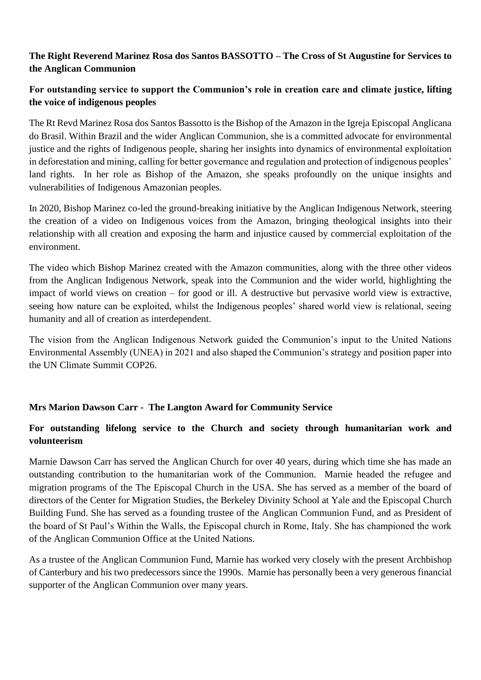# **The Right Reverend Marinez Rosa dos Santos BASSOTTO – The Cross of St Augustine for Services to the Anglican Communion**

# **For outstanding service to support the Communion's role in creation care and climate justice, lifting the voice of indigenous peoples**

The Rt Revd Marinez Rosa dos Santos Bassotto is the Bishop of the Amazon in the Igreja Episcopal Anglicana do Brasil. Within Brazil and the wider Anglican Communion, she is a committed advocate for environmental justice and the rights of Indigenous people, sharing her insights into dynamics of environmental exploitation in deforestation and mining, calling for better governance and regulation and protection of indigenous peoples' land rights. In her role as Bishop of the Amazon, she speaks profoundly on the unique insights and vulnerabilities of Indigenous Amazonian peoples.

In 2020, Bishop Marinez co-led the ground-breaking initiative by the Anglican Indigenous Network, steering the creation of a video on Indigenous voices from the Amazon, bringing theological insights into their relationship with all creation and exposing the harm and injustice caused by commercial exploitation of the environment.

The video which Bishop Marinez created with the Amazon communities, along with the three other videos from the Anglican Indigenous Network, speak into the Communion and the wider world, highlighting the impact of world views on creation – for good or ill. A destructive but pervasive world view is extractive, seeing how nature can be exploited, whilst the Indigenous peoples' shared world view is relational, seeing humanity and all of creation as interdependent.

The vision from the Anglican Indigenous Network guided the Communion's input to the United Nations Environmental Assembly (UNEA) in 2021 and also shaped the Communion's strategy and position paper into the UN Climate Summit COP26.

## **Mrs Marion Dawson Carr - The Langton Award for Community Service**

# **For outstanding lifelong service to the Church and society through humanitarian work and volunteerism**

Marnie Dawson Carr has served the Anglican Church for over 40 years, during which time she has made an outstanding contribution to the humanitarian work of the Communion. Marnie headed the refugee and migration programs of the The Episcopal Church in the USA. She has served as a member of the board of directors of the Center for Migration Studies, the Berkeley Divinity School at Yale and the Episcopal Church Building Fund. She has served as a founding trustee of the Anglican Communion Fund, and as President of the board of St Paul's Within the Walls, the Episcopal church in Rome, Italy. She has championed the work of the Anglican Communion Office at the United Nations.

As a trustee of the Anglican Communion Fund, Marnie has worked very closely with the present Archbishop of Canterbury and his two predecessors since the 1990s. Marnie has personally been a very generous financial supporter of the Anglican Communion over many years.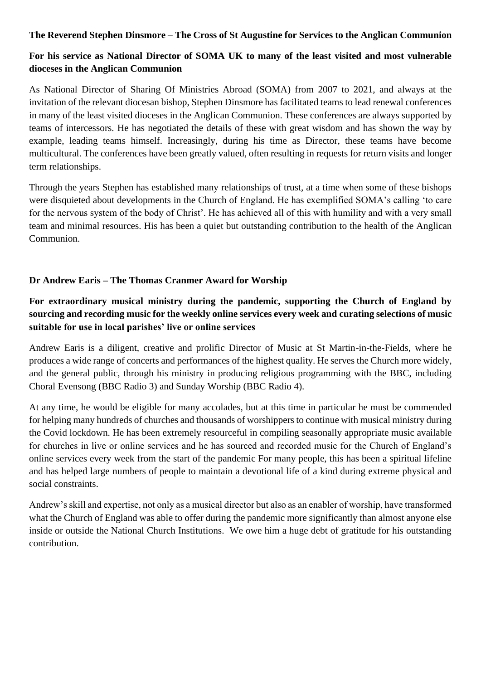#### **The Reverend Stephen Dinsmore – The Cross of St Augustine for Services to the Anglican Communion**

# **For his service as National Director of SOMA UK to many of the least visited and most vulnerable dioceses in the Anglican Communion**

As National Director of Sharing Of Ministries Abroad (SOMA) from 2007 to 2021, and always at the invitation of the relevant diocesan bishop, Stephen Dinsmore has facilitated teams to lead renewal conferences in many of the least visited dioceses in the Anglican Communion. These conferences are always supported by teams of intercessors. He has negotiated the details of these with great wisdom and has shown the way by example, leading teams himself. Increasingly, during his time as Director, these teams have become multicultural. The conferences have been greatly valued, often resulting in requests for return visits and longer term relationships.

Through the years Stephen has established many relationships of trust, at a time when some of these bishops were disquieted about developments in the Church of England. He has exemplified SOMA's calling 'to care for the nervous system of the body of Christ'. He has achieved all of this with humility and with a very small team and minimal resources. His has been a quiet but outstanding contribution to the health of the Anglican Communion.

## **Dr Andrew Earis – The Thomas Cranmer Award for Worship**

# **For extraordinary musical ministry during the pandemic, supporting the Church of England by sourcing and recording music for the weekly online services every week and curating selections of music suitable for use in local parishes' live or online services**

Andrew Earis is a diligent, creative and prolific Director of Music at St Martin-in-the-Fields, where he produces a wide range of concerts and performances of the highest quality. He serves the Church more widely, and the general public, through his ministry in producing religious programming with the BBC, including Choral Evensong (BBC Radio 3) and Sunday Worship (BBC Radio 4).

At any time, he would be eligible for many accolades, but at this time in particular he must be commended for helping many hundreds of churches and thousands of worshippers to continue with musical ministry during the Covid lockdown. He has been extremely resourceful in compiling seasonally appropriate music available for churches in live or online services and he has sourced and recorded music for the Church of England's online services every week from the start of the pandemic For many people, this has been a spiritual lifeline and has helped large numbers of people to maintain a devotional life of a kind during extreme physical and social constraints.

Andrew's skill and expertise, not only as a musical director but also as an enabler of worship, have transformed what the Church of England was able to offer during the pandemic more significantly than almost anyone else inside or outside the National Church Institutions. We owe him a huge debt of gratitude for his outstanding contribution.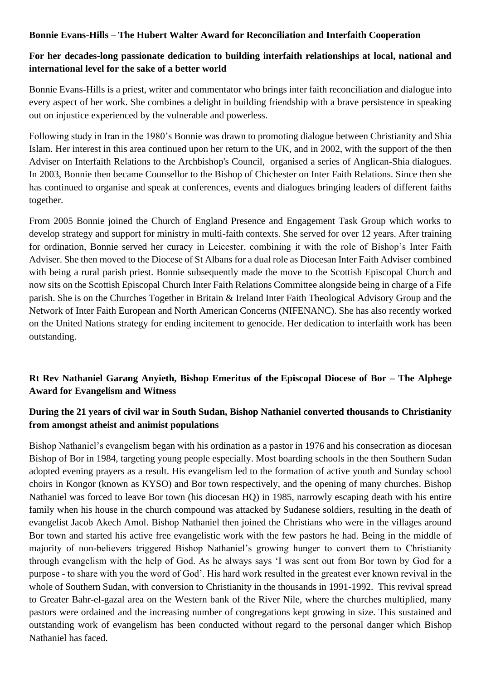#### **Bonnie Evans-Hills – The Hubert Walter Award for Reconciliation and Interfaith Cooperation**

## **For her decades-long passionate dedication to building interfaith relationships at local, national and international level for the sake of a better world**

Bonnie Evans-Hills is a priest, writer and commentator who brings inter faith reconciliation and dialogue into every aspect of her work. She combines a delight in building friendship with a brave persistence in speaking out on injustice experienced by the vulnerable and powerless.

Following study in Iran in the 1980's Bonnie was drawn to promoting dialogue between Christianity and Shia Islam. Her interest in this area continued upon her return to the UK, and in 2002, with the support of the then Adviser on Interfaith Relations to the Archbishop's Council, organised a series of Anglican-Shia dialogues. In 2003, Bonnie then became Counsellor to the Bishop of Chichester on Inter Faith Relations. Since then she has continued to organise and speak at conferences, events and dialogues bringing leaders of different faiths together.

From 2005 Bonnie joined the Church of England Presence and Engagement Task Group which works to develop strategy and support for ministry in multi-faith contexts. She served for over 12 years. After training for ordination, Bonnie served her curacy in Leicester, combining it with the role of Bishop's Inter Faith Adviser. She then moved to the Diocese of St Albans for a dual role as Diocesan Inter Faith Adviser combined with being a rural parish priest. Bonnie subsequently made the move to the Scottish Episcopal Church and now sits on the Scottish Episcopal Church Inter Faith Relations Committee alongside being in charge of a Fife parish. She is on the Churches Together in Britain & Ireland Inter Faith Theological Advisory Group and the Network of Inter Faith European and North American Concerns (NIFENANC). She has also recently worked on the United Nations strategy for ending incitement to genocide. Her dedication to interfaith work has been outstanding.

# **Rt Rev Nathaniel Garang Anyieth, Bishop Emeritus of the Episcopal Diocese of Bor – The Alphege Award for Evangelism and Witness**

## **During the 21 years of civil war in South Sudan, Bishop Nathaniel converted thousands to Christianity from amongst atheist and animist populations**

Bishop Nathaniel's evangelism began with his ordination as a pastor in 1976 and his consecration as diocesan Bishop of Bor in 1984, targeting young people especially. Most boarding schools in the then Southern Sudan adopted evening prayers as a result. His evangelism led to the formation of active youth and Sunday school choirs in Kongor (known as KYSO) and Bor town respectively, and the opening of many churches. Bishop Nathaniel was forced to leave Bor town (his diocesan HQ) in 1985, narrowly escaping death with his entire family when his house in the church compound was attacked by Sudanese soldiers, resulting in the death of evangelist Jacob Akech Amol. Bishop Nathaniel then joined the Christians who were in the villages around Bor town and started his active free evangelistic work with the few pastors he had. Being in the middle of majority of non-believers triggered Bishop Nathaniel's growing hunger to convert them to Christianity through evangelism with the help of God. As he always says 'I was sent out from Bor town by God for a purpose - to share with you the word of God'. His hard work resulted in the greatest ever known revival in the whole of Southern Sudan, with conversion to Christianity in the thousands in 1991-1992. This revival spread to Greater Bahr-el-gazal area on the Western bank of the River Nile, where the churches multiplied, many pastors were ordained and the increasing number of congregations kept growing in size. This sustained and outstanding work of evangelism has been conducted without regard to the personal danger which Bishop Nathaniel has faced.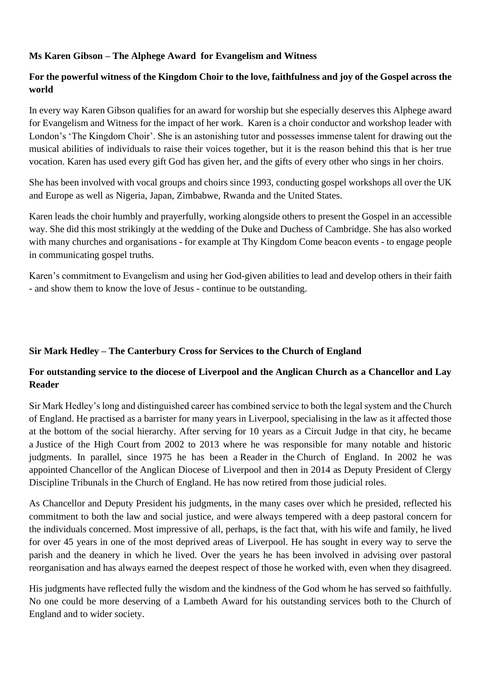#### **Ms Karen Gibson – The Alphege Award for Evangelism and Witness**

## **For the powerful witness of the Kingdom Choir to the love, faithfulness and joy of the Gospel across the world**

In every way Karen Gibson qualifies for an award for worship but she especially deserves this Alphege award for Evangelism and Witness for the impact of her work. Karen is a choir conductor and workshop leader with London's 'The Kingdom Choir'. She is an astonishing tutor and possesses immense talent for drawing out the musical abilities of individuals to raise their voices together, but it is the reason behind this that is her true vocation. Karen has used every gift God has given her, and the gifts of every other who sings in her choirs.

She has been involved with vocal groups and choirs since 1993, conducting gospel workshops all over the UK and Europe as well as Nigeria, Japan, Zimbabwe, Rwanda and the United States.

Karen leads the choir humbly and prayerfully, working alongside others to present the Gospel in an accessible way. She did this most strikingly at the wedding of the Duke and Duchess of Cambridge. She has also worked with many churches and organisations - for example at Thy Kingdom Come beacon events - to engage people in communicating gospel truths.

Karen's commitment to Evangelism and using her God-given abilities to lead and develop others in their faith - and show them to know the love of Jesus - continue to be outstanding.

## **Sir Mark Hedley – The Canterbury Cross for Services to the Church of England**

## **For outstanding service to the diocese of Liverpool and the Anglican Church as a Chancellor and Lay Reader**

Sir Mark Hedley's long and distinguished career has combined service to both the legal system and the Church of England. He practised as a barrister for many years in Liverpool, specialising in the law as it affected those at the bottom of the social hierarchy. After serving for 10 years as a Circuit Judge in that city, he became a [Justice of the High Court](https://en.wikipedia.org/wiki/High_Court_judge_(England_and_Wales)) from 2002 to 2013 where he was responsible for many notable and historic judgments. In parallel, since 1975 he has been a [Reader](https://en.wikipedia.org/wiki/Lay_reader) in the [Church of England.](https://en.wikipedia.org/wiki/Church_of_England) In 2002 he was appointed [Chancellor](https://en.wikipedia.org/wiki/Chancellor_(ecclesiastical)) of the [Anglican Diocese of Liverpool](https://en.wikipedia.org/wiki/Anglican_Diocese_of_Liverpool) and then in 2014 as Deputy President of Clergy Discipline Tribunals in the Church of England. He has now retired from those judicial roles.

As Chancellor and Deputy President his judgments, in the many cases over which he presided, reflected his commitment to both the law and social justice, and were always tempered with a deep pastoral concern for the individuals concerned. Most impressive of all, perhaps, is the fact that, with his wife and family, he lived for over 45 years in one of the most deprived areas of Liverpool. He has sought in every way to serve the parish and the deanery in which he lived. Over the years he has been involved in advising over pastoral reorganisation and has always earned the deepest respect of those he worked with, even when they disagreed.

His judgments have reflected fully the wisdom and the kindness of the God whom he has served so faithfully. No one could be more deserving of a Lambeth Award for his outstanding services both to the Church of England and to wider society.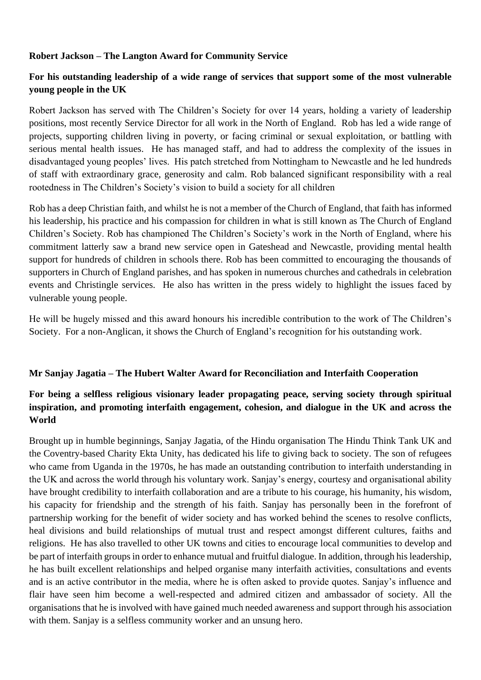#### **Robert Jackson – The Langton Award for Community Service**

## **For his outstanding leadership of a wide range of services that support some of the most vulnerable young people in the UK**

Robert Jackson has served with The Children's Society for over 14 years, holding a variety of leadership positions, most recently Service Director for all work in the North of England. Rob has led a wide range of projects, supporting children living in poverty, or facing criminal or sexual exploitation, or battling with serious mental health issues. He has managed staff, and had to address the complexity of the issues in disadvantaged young peoples' lives. His patch stretched from Nottingham to Newcastle and he led hundreds of staff with extraordinary grace, generosity and calm. Rob balanced significant responsibility with a real rootedness in The Children's Society's vision to build a society for all children

Rob has a deep Christian faith, and whilst he is not a member of the Church of England, that faith has informed his leadership, his practice and his compassion for children in what is still known as The Church of England Children's Society. Rob has championed The Children's Society's work in the North of England, where his commitment latterly saw a brand new service open in Gateshead and Newcastle, providing mental health support for hundreds of children in schools there. Rob has been committed to encouraging the thousands of supporters in Church of England parishes, and has spoken in numerous churches and cathedrals in celebration events and Christingle services. He also has written in the press widely to highlight the issues faced by vulnerable young people.

He will be hugely missed and this award honours his incredible contribution to the work of The Children's Society. For a non-Anglican, it shows the Church of England's recognition for his outstanding work.

#### **Mr Sanjay Jagatia – The Hubert Walter Award for Reconciliation and Interfaith Cooperation**

## **For being a selfless religious visionary leader propagating peace, serving society through spiritual inspiration, and promoting interfaith engagement, cohesion, and dialogue in the UK and across the World**

Brought up in humble beginnings, Sanjay Jagatia, of the Hindu organisation The Hindu Think Tank UK and the Coventry-based Charity Ekta Unity, has dedicated his life to giving back to society. The son of refugees who came from Uganda in the 1970s, he has made an outstanding contribution to interfaith understanding in the UK and across the world through his voluntary work. Sanjay's energy, courtesy and organisational ability have brought credibility to interfaith collaboration and are a tribute to his courage, his humanity, his wisdom, his capacity for friendship and the strength of his faith. Sanjay has personally been in the forefront of partnership working for the benefit of wider society and has worked behind the scenes to resolve conflicts, heal divisions and build relationships of mutual trust and respect amongst different cultures, faiths and religions. He has also travelled to other UK towns and cities to encourage local communities to develop and be part of interfaith groups in order to enhance mutual and fruitful dialogue. In addition, through his leadership, he has built excellent relationships and helped organise many interfaith activities, consultations and events and is an active contributor in the media, where he is often asked to provide quotes. Sanjay's influence and flair have seen him become a well-respected and admired citizen and ambassador of society. All the organisations that he is involved with have gained much needed awareness and support through his association with them. Sanjay is a selfless community worker and an unsung hero.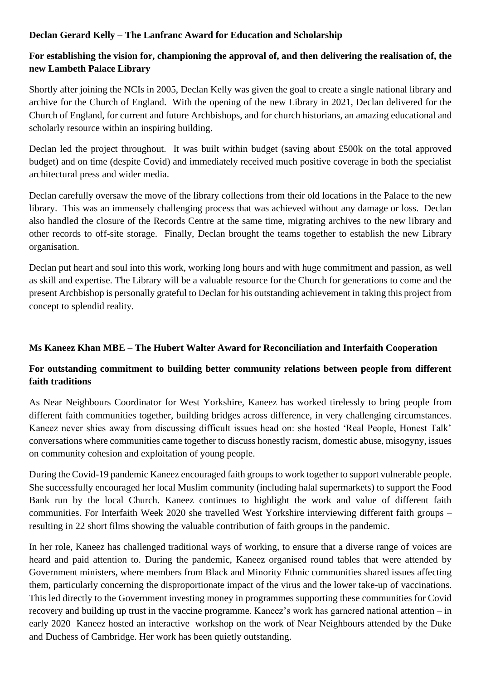## **Declan Gerard Kelly – The Lanfranc Award for Education and Scholarship**

# **For establishing the vision for, championing the approval of, and then delivering the realisation of, the new Lambeth Palace Library**

Shortly after joining the NCIs in 2005, Declan Kelly was given the goal to create a single national library and archive for the Church of England. With the opening of the new Library in 2021, Declan delivered for the Church of England, for current and future Archbishops, and for church historians, an amazing educational and scholarly resource within an inspiring building.

Declan led the project throughout. It was built within budget (saving about £500k on the total approved budget) and on time (despite Covid) and immediately received much positive coverage in both the specialist architectural press and wider media.

Declan carefully oversaw the move of the library collections from their old locations in the Palace to the new library. This was an immensely challenging process that was achieved without any damage or loss. Declan also handled the closure of the Records Centre at the same time, migrating archives to the new library and other records to off-site storage. Finally, Declan brought the teams together to establish the new Library organisation.

Declan put heart and soul into this work, working long hours and with huge commitment and passion, as well as skill and expertise. The Library will be a valuable resource for the Church for generations to come and the present Archbishop is personally grateful to Declan for his outstanding achievement in taking this project from concept to splendid reality.

## **Ms Kaneez Khan MBE – The Hubert Walter Award for Reconciliation and Interfaith Cooperation**

## **For outstanding commitment to building better community relations between people from different faith traditions**

As Near Neighbours Coordinator for West Yorkshire, Kaneez has worked tirelessly to bring people from different faith communities together, building bridges across difference, in very challenging circumstances. Kaneez never shies away from discussing difficult issues head on: she hosted 'Real People, Honest Talk' conversations where communities came together to discuss honestly racism, domestic abuse, misogyny, issues on community cohesion and exploitation of young people.

During the Covid-19 pandemic Kaneez encouraged faith groups to work together to support vulnerable people. She successfully encouraged her local Muslim community (including halal supermarkets) to support the Food Bank run by the local Church. Kaneez continues to highlight the work and value of different faith communities. For Interfaith Week 2020 she travelled West Yorkshire interviewing different faith groups – resulting in 22 short films showing the valuable contribution of faith groups in the pandemic.

In her role, Kaneez has challenged traditional ways of working, to ensure that a diverse range of voices are heard and paid attention to. During the pandemic, Kaneez organised round tables that were attended by Government ministers, where members from Black and Minority Ethnic communities shared issues affecting them, particularly concerning the disproportionate impact of the virus and the lower take-up of vaccinations. This led directly to the Government investing money in programmes supporting these communities for Covid recovery and building up trust in the vaccine programme. Kaneez's work has garnered national attention – in early 2020 Kaneez hosted an interactive workshop on the work of Near Neighbours attended by the Duke and Duchess of Cambridge. Her work has been quietly outstanding.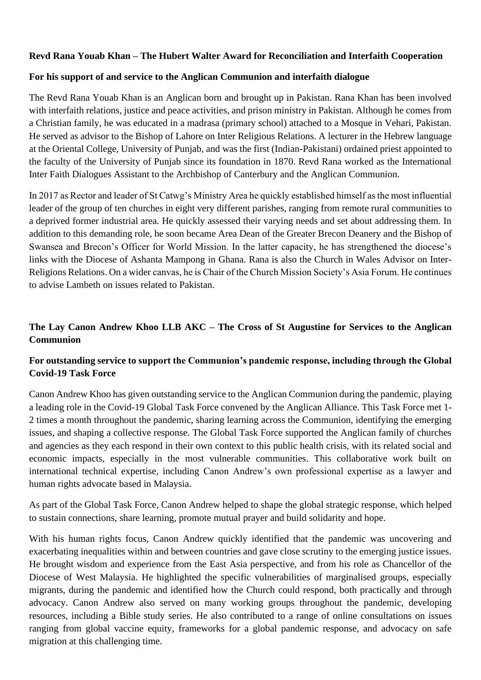#### **Revd Rana Youab Khan – The Hubert Walter Award for Reconciliation and Interfaith Cooperation**

#### **For his support of and service to the Anglican Communion and interfaith dialogue**

The Revd Rana Youab Khan is an Anglican born and brought up in Pakistan. Rana Khan has been involved with interfaith relations, justice and peace activities, and prison ministry in Pakistan. Although he comes from a Christian family, he was educated in a madrasa (primary school) attached to a Mosque in Vehari, Pakistan. He served as advisor to the Bishop of Lahore on Inter Religious Relations. A lecturer in the Hebrew language at the Oriental College, University of Punjab, and was the first (Indian-Pakistani) ordained priest appointed to the faculty of the University of Punjab since its foundation in 1870. Revd Rana worked as the International Inter Faith Dialogues Assistant to the Archbishop of Canterbury and the Anglican Communion.

In 2017 as Rector and leader of St Catwg's Ministry Area he quickly established himself as the most influential leader of the group of ten churches in eight very different parishes, ranging from remote rural communities to a deprived former industrial area. He quickly assessed their varying needs and set about addressing them. In addition to this demanding role, he soon became Area Dean of the Greater Brecon Deanery and the Bishop of Swansea and Brecon's Officer for World Mission. In the latter capacity, he has strengthened the diocese's links with the Diocese of Ashanta Mampong in Ghana. Rana is also the Church in Wales Advisor on Inter-Religions Relations. On a wider canvas, he is Chair of the Church Mission Society's Asia Forum. He continues to advise Lambeth on issues related to Pakistan.

## **The Lay Canon Andrew Khoo LLB AKC – The Cross of St Augustine for Services to the Anglican Communion**

## **For outstanding service to support the Communion's pandemic response, including through the Global Covid-19 Task Force**

Canon Andrew Khoo has given outstanding service to the Anglican Communion during the pandemic, playing a leading role in the Covid-19 Global Task Force convened by the Anglican Alliance. This Task Force met 1- 2 times a month throughout the pandemic, sharing learning across the Communion, identifying the emerging issues, and shaping a collective response. The Global Task Force supported the Anglican family of churches and agencies as they each respond in their own context to this public health crisis, with its related social and economic impacts, especially in the most vulnerable communities. This collaborative work built on international technical expertise, including Canon Andrew's own professional expertise as a lawyer and human rights advocate based in Malaysia.

As part of the Global Task Force, Canon Andrew helped to shape the global strategic response, which helped to sustain connections, share learning, promote mutual prayer and build solidarity and hope.

With his human rights focus, Canon Andrew quickly identified that the pandemic was uncovering and exacerbating inequalities within and between countries and gave close scrutiny to the emerging justice issues. He brought wisdom and experience from the East Asia perspective, and from his role as Chancellor of the Diocese of West Malaysia. He highlighted the specific vulnerabilities of marginalised groups, especially migrants, during the pandemic and identified how the Church could respond, both practically and through advocacy. Canon Andrew also served on many working groups throughout the pandemic, developing resources, including a Bible study series. He also contributed to a range of online consultations on issues ranging from global vaccine equity, frameworks for a global pandemic response, and advocacy on safe migration at this challenging time.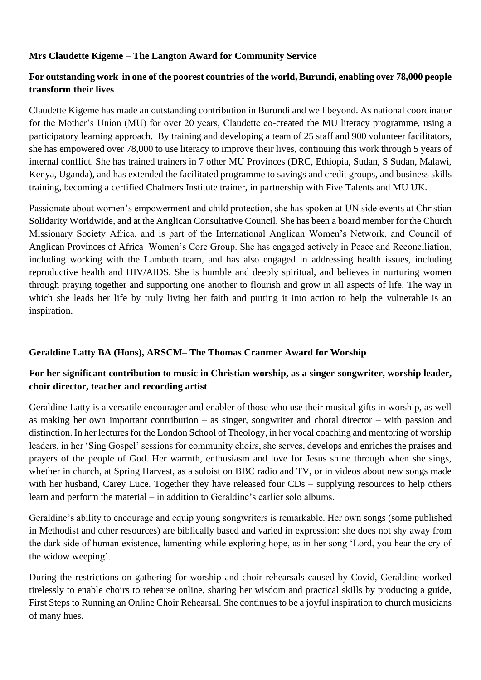## **Mrs Claudette Kigeme – The Langton Award for Community Service**

## **For outstanding work in one of the poorest countries of the world, Burundi, enabling over 78,000 people transform their lives**

Claudette Kigeme has made an outstanding contribution in Burundi and well beyond. As national coordinator for the Mother's Union (MU) for over 20 years, Claudette co-created the MU literacy programme, using a participatory learning approach. By training and developing a team of 25 staff and 900 volunteer facilitators, she has empowered over 78,000 to use literacy to improve their lives, continuing this work through 5 years of internal conflict. She has trained trainers in 7 other MU Provinces (DRC, Ethiopia, Sudan, S Sudan, Malawi, Kenya, Uganda), and has extended the facilitated programme to savings and credit groups, and business skills training, becoming a certified Chalmers Institute trainer, in partnership with Five Talents and MU UK.

Passionate about women's empowerment and child protection, she has spoken at UN side events at Christian Solidarity Worldwide, and at the Anglican Consultative Council. She has been a board member for the Church Missionary Society Africa, and is part of the International Anglican Women's Network, and Council of Anglican Provinces of Africa Women's Core Group. She has engaged actively in Peace and Reconciliation, including working with the Lambeth team, and has also engaged in addressing health issues, including reproductive health and HIV/AIDS. She is humble and deeply spiritual, and believes in nurturing women through praying together and supporting one another to flourish and grow in all aspects of life. The way in which she leads her life by truly living her faith and putting it into action to help the vulnerable is an inspiration.

## **Geraldine Latty BA (Hons), ARSCM– The Thomas Cranmer Award for Worship**

## **For her significant contribution to music in Christian worship, as a singer-songwriter, worship leader, choir director, teacher and recording artist**

Geraldine Latty is a versatile encourager and enabler of those who use their musical gifts in worship, as well as making her own important contribution – as singer, songwriter and choral director – with passion and distinction. In her lectures for the London School of Theology, in her vocal coaching and mentoring of worship leaders, in her 'Sing Gospel' sessions for community choirs, she serves, develops and enriches the praises and prayers of the people of God. Her warmth, enthusiasm and love for Jesus shine through when she sings, whether in church, at Spring Harvest, as a soloist on BBC radio and TV, or in videos about new songs made with her husband, Carey Luce. Together they have released four CDs – supplying resources to help others learn and perform the material – in addition to Geraldine's earlier solo albums.

Geraldine's ability to encourage and equip young songwriters is remarkable. Her own songs (some published in Methodist and other resources) are biblically based and varied in expression: she does not shy away from the dark side of human existence, lamenting while exploring hope, as in her song 'Lord, you hear the cry of the widow weeping'.

During the restrictions on gathering for worship and choir rehearsals caused by Covid, Geraldine worked tirelessly to enable choirs to rehearse online, sharing her wisdom and practical skills by producing a guide, First Steps to Running an Online Choir Rehearsal. She continues to be a joyful inspiration to church musicians of many hues.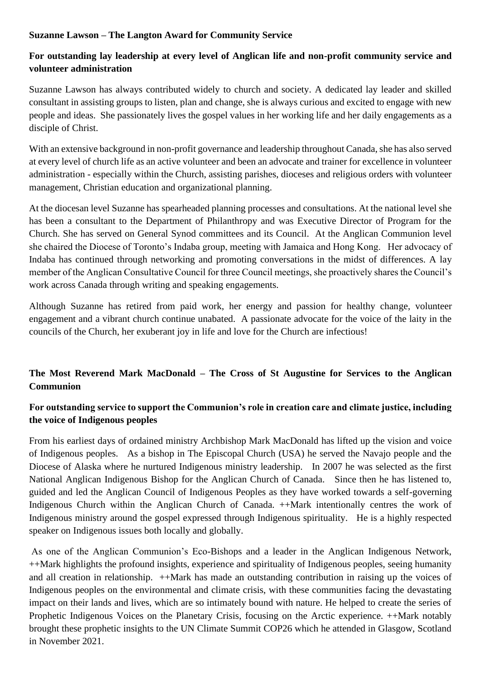#### **Suzanne Lawson – The Langton Award for Community Service**

# **For outstanding lay leadership at every level of Anglican life and non-profit community service and volunteer administration**

Suzanne Lawson has always contributed widely to church and society. A dedicated lay leader and skilled consultant in assisting groups to listen, plan and change, she is always curious and excited to engage with new people and ideas. She passionately lives the gospel values in her working life and her daily engagements as a disciple of Christ.

With an extensive background in non-profit governance and leadership throughout Canada, she has also served at every level of church life as an active volunteer and been an advocate and trainer for excellence in volunteer administration - especially within the Church, assisting parishes, dioceses and religious orders with volunteer management, Christian education and organizational planning.

At the diocesan level Suzanne has spearheaded planning processes and consultations. At the national level she has been a consultant to the Department of Philanthropy and was Executive Director of Program for the Church. She has served on General Synod committees and its Council. At the Anglican Communion level she chaired the Diocese of Toronto's Indaba group, meeting with Jamaica and Hong Kong. Her advocacy of Indaba has continued through networking and promoting conversations in the midst of differences. A lay member of the Anglican Consultative Council for three Council meetings, she proactively shares the Council's work across Canada through writing and speaking engagements.

Although Suzanne has retired from paid work, her energy and passion for healthy change, volunteer engagement and a vibrant church continue unabated. A passionate advocate for the voice of the laity in the councils of the Church, her exuberant joy in life and love for the Church are infectious!

# **The Most Reverend Mark MacDonald – The Cross of St Augustine for Services to the Anglican Communion**

## **For outstanding service to support the Communion's role in creation care and climate justice, including the voice of Indigenous peoples**

From his earliest days of ordained ministry Archbishop Mark MacDonald has lifted up the vision and voice of Indigenous peoples. As a bishop in The Episcopal Church (USA) he served the Navajo people and the Diocese of Alaska where he nurtured Indigenous ministry leadership. In 2007 he was selected as the first National Anglican Indigenous Bishop for the Anglican Church of Canada. Since then he has listened to, guided and led the Anglican Council of Indigenous Peoples as they have worked towards a self-governing Indigenous Church within the Anglican Church of Canada. ++Mark intentionally centres the work of Indigenous ministry around the gospel expressed through Indigenous spirituality. He is a highly respected speaker on Indigenous issues both locally and globally.

As one of the Anglican Communion's Eco-Bishops and a leader in the Anglican Indigenous Network, ++Mark highlights the profound insights, experience and spirituality of Indigenous peoples, seeing humanity and all creation in relationship. ++Mark has made an outstanding contribution in raising up the voices of Indigenous peoples on the environmental and climate crisis, with these communities facing the devastating impact on their lands and lives, which are so intimately bound with nature. He helped to create the series of Prophetic Indigenous Voices on the Planetary Crisis, focusing on the Arctic experience. ++Mark notably brought these prophetic insights to the UN Climate Summit COP26 which he attended in Glasgow, Scotland in November 2021.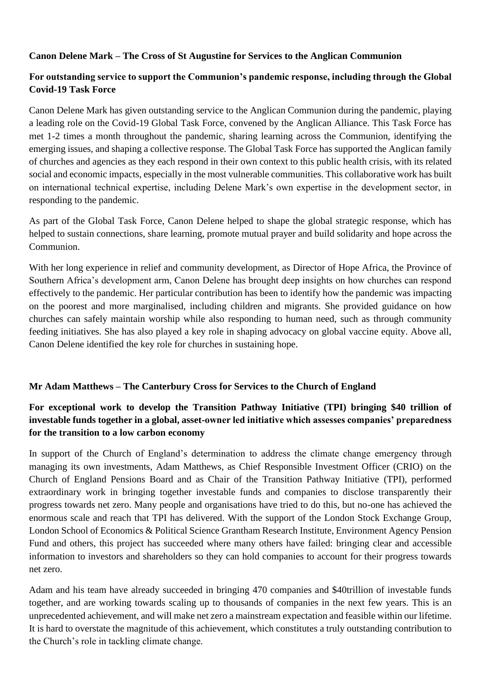## **Canon Delene Mark – The Cross of St Augustine for Services to the Anglican Communion**

## **For outstanding service to support the Communion's pandemic response, including through the Global Covid-19 Task Force**

Canon Delene Mark has given outstanding service to the Anglican Communion during the pandemic, playing a leading role on the Covid-19 Global Task Force, convened by the Anglican Alliance. This Task Force has met 1-2 times a month throughout the pandemic, sharing learning across the Communion, identifying the emerging issues, and shaping a collective response. The Global Task Force has supported the Anglican family of churches and agencies as they each respond in their own context to this public health crisis, with its related social and economic impacts, especially in the most vulnerable communities. This collaborative work has built on international technical expertise, including Delene Mark's own expertise in the development sector, in responding to the pandemic.

As part of the Global Task Force, Canon Delene helped to shape the global strategic response, which has helped to sustain connections, share learning, promote mutual prayer and build solidarity and hope across the Communion.

With her long experience in relief and community development, as Director of Hope Africa, the Province of Southern Africa's development arm, Canon Delene has brought deep insights on how churches can respond effectively to the pandemic. Her particular contribution has been to identify how the pandemic was impacting on the poorest and more marginalised, including children and migrants. She provided guidance on how churches can safely maintain worship while also responding to human need, such as through community feeding initiatives. She has also played a key role in shaping advocacy on global vaccine equity. Above all, Canon Delene identified the key role for churches in sustaining hope.

#### **Mr Adam Matthews – The Canterbury Cross for Services to the Church of England**

# **For exceptional work to develop the Transition Pathway Initiative (TPI) bringing \$40 trillion of investable funds together in a global, asset-owner led initiative which assesses companies' preparedness for the transition to a low carbon economy**

In support of the Church of England's determination to address the climate change emergency through managing its own investments, Adam Matthews, as Chief Responsible Investment Officer (CRIO) on the Church of England Pensions Board and as Chair of the Transition Pathway Initiative (TPI), performed extraordinary work in bringing together investable funds and companies to disclose transparently their progress towards net zero. Many people and organisations have tried to do this, but no-one has achieved the enormous scale and reach that TPI has delivered. With the support of the London Stock Exchange Group, London School of Economics & Political Science Grantham Research Institute, Environment Agency Pension Fund and others, this project has succeeded where many others have failed: bringing clear and accessible information to investors and shareholders so they can hold companies to account for their progress towards net zero.

Adam and his team have already succeeded in bringing 470 companies and \$40trillion of investable funds together, and are working towards scaling up to thousands of companies in the next few years. This is an unprecedented achievement, and will make net zero a mainstream expectation and feasible within our lifetime. It is hard to overstate the magnitude of this achievement, which constitutes a truly outstanding contribution to the Church's role in tackling climate change.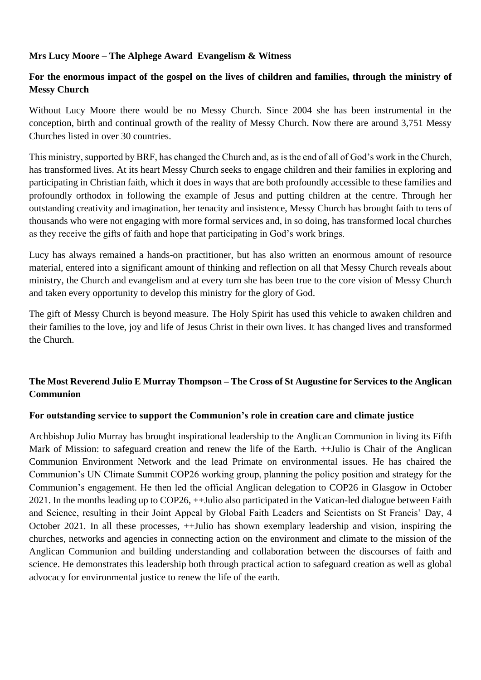## **Mrs Lucy Moore – The Alphege Award Evangelism & Witness**

## **For the enormous impact of the gospel on the lives of children and families, through the ministry of Messy Church**

Without Lucy Moore there would be no Messy Church. Since 2004 she has been instrumental in the conception, birth and continual growth of the reality of Messy Church. Now there are around 3,751 Messy Churches listed in over 30 countries.

This ministry, supported by BRF, has changed the Church and, as is the end of all of God's work in the Church, has transformed lives. At its heart Messy Church seeks to engage children and their families in exploring and participating in Christian faith, which it does in ways that are both profoundly accessible to these families and profoundly orthodox in following the example of Jesus and putting children at the centre. Through her outstanding creativity and imagination, her tenacity and insistence, Messy Church has brought faith to tens of thousands who were not engaging with more formal services and, in so doing, has transformed local churches as they receive the gifts of faith and hope that participating in God's work brings.

Lucy has always remained a hands-on practitioner, but has also written an enormous amount of resource material, entered into a significant amount of thinking and reflection on all that Messy Church reveals about ministry, the Church and evangelism and at every turn she has been true to the core vision of Messy Church and taken every opportunity to develop this ministry for the glory of God.

The gift of Messy Church is beyond measure. The Holy Spirit has used this vehicle to awaken children and their families to the love, joy and life of Jesus Christ in their own lives. It has changed lives and transformed the Church.

# **The Most Reverend Julio E Murray Thompson – The Cross of St Augustine for Services to the Anglican Communion**

#### **For outstanding service to support the Communion's role in creation care and climate justice**

Archbishop Julio Murray has brought inspirational leadership to the Anglican Communion in living its Fifth Mark of Mission: to safeguard creation and renew the life of the Earth.  $++$ Julio is Chair of the Anglican Communion Environment Network and the lead Primate on environmental issues. He has chaired the Communion's UN Climate Summit COP26 working group, planning the policy position and strategy for the Communion's engagement. He then led the official Anglican delegation to COP26 in Glasgow in October 2021. In the months leading up to COP26, ++Julio also participated in the Vatican-led dialogue between Faith and Science, resulting in their Joint Appeal by Global Faith Leaders and Scientists on St Francis' Day, 4 October 2021. In all these processes, ++Julio has shown exemplary leadership and vision, inspiring the churches, networks and agencies in connecting action on the environment and climate to the mission of the Anglican Communion and building understanding and collaboration between the discourses of faith and science. He demonstrates this leadership both through practical action to safeguard creation as well as global advocacy for environmental justice to renew the life of the earth.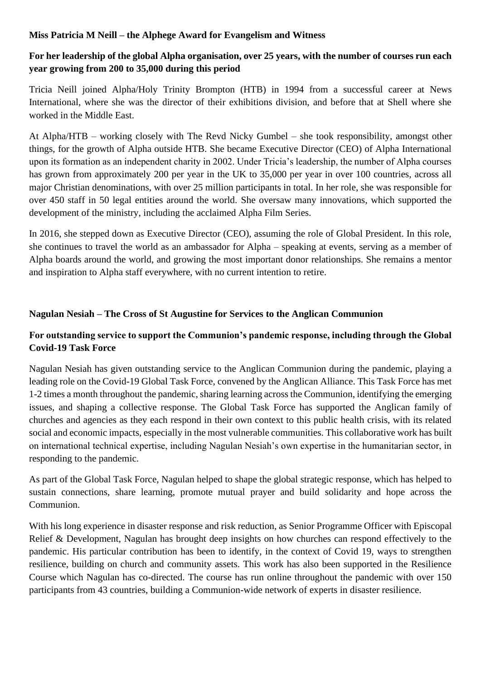#### **Miss Patricia M Neill – the Alphege Award for Evangelism and Witness**

# **For her leadership of the global Alpha organisation, over 25 years, with the number of courses run each year growing from 200 to 35,000 during this period**

Tricia Neill joined Alpha/Holy Trinity Brompton (HTB) in 1994 from a successful career at News International, where she was the director of their exhibitions division, and before that at Shell where she worked in the Middle East.

At Alpha/HTB – working closely with The Revd Nicky Gumbel – she took responsibility, amongst other things, for the growth of Alpha outside HTB. She became Executive Director (CEO) of Alpha International upon its formation as an independent charity in 2002. Under Tricia's leadership, the number of Alpha courses has grown from approximately 200 per year in the UK to 35,000 per year in over 100 countries, across all major Christian denominations, with over 25 million participants in total. In her role, she was responsible for over 450 staff in 50 legal entities around the world. She oversaw many innovations, which supported the development of the ministry, including the acclaimed Alpha Film Series.

In 2016, she stepped down as Executive Director (CEO), assuming the role of Global President. In this role, she continues to travel the world as an ambassador for Alpha – speaking at events, serving as a member of Alpha boards around the world, and growing the most important donor relationships. She remains a mentor and inspiration to Alpha staff everywhere, with no current intention to retire.

## **Nagulan Nesiah – The Cross of St Augustine for Services to the Anglican Communion**

# **For outstanding service to support the Communion's pandemic response, including through the Global Covid-19 Task Force**

Nagulan Nesiah has given outstanding service to the Anglican Communion during the pandemic, playing a leading role on the Covid-19 Global Task Force, convened by the Anglican Alliance. This Task Force has met 1-2 times a month throughout the pandemic, sharing learning across the Communion, identifying the emerging issues, and shaping a collective response. The Global Task Force has supported the Anglican family of churches and agencies as they each respond in their own context to this public health crisis, with its related social and economic impacts, especially in the most vulnerable communities. This collaborative work has built on international technical expertise, including Nagulan Nesiah's own expertise in the humanitarian sector, in responding to the pandemic.

As part of the Global Task Force, Nagulan helped to shape the global strategic response, which has helped to sustain connections, share learning, promote mutual prayer and build solidarity and hope across the Communion.

With his long experience in disaster response and risk reduction, as Senior Programme Officer with Episcopal Relief & Development, Nagulan has brought deep insights on how churches can respond effectively to the pandemic. His particular contribution has been to identify, in the context of Covid 19, ways to strengthen resilience, building on church and community assets. This work has also been supported in the Resilience Course which Nagulan has co-directed. The course has run online throughout the pandemic with over 150 participants from 43 countries, building a Communion-wide network of experts in disaster resilience.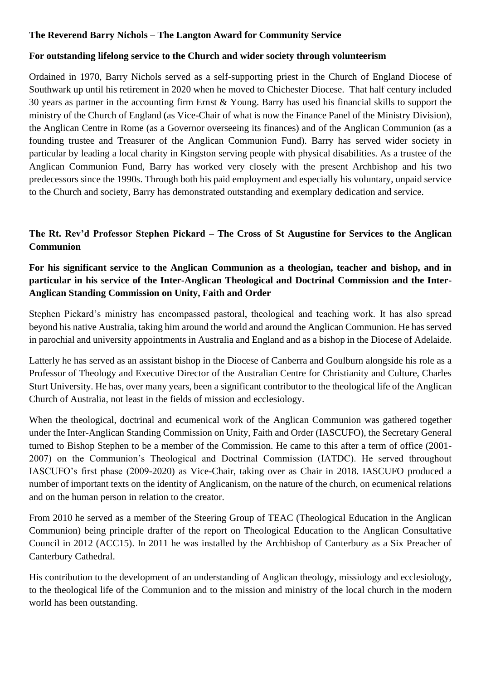## **The Reverend Barry Nichols – The Langton Award for Community Service**

#### **For outstanding lifelong service to the Church and wider society through volunteerism**

Ordained in 1970, Barry Nichols served as a self-supporting priest in the Church of England Diocese of Southwark up until his retirement in 2020 when he moved to Chichester Diocese. That half century included 30 years as partner in the accounting firm Ernst & Young. Barry has used his financial skills to support the ministry of the Church of England (as Vice-Chair of what is now the Finance Panel of the Ministry Division), the Anglican Centre in Rome (as a Governor overseeing its finances) and of the Anglican Communion (as a founding trustee and Treasurer of the Anglican Communion Fund). Barry has served wider society in particular by leading a local charity in Kingston serving people with physical disabilities. As a trustee of the Anglican Communion Fund, Barry has worked very closely with the present Archbishop and his two predecessors since the 1990s. Through both his paid employment and especially his voluntary, unpaid service to the Church and society, Barry has demonstrated outstanding and exemplary dedication and service.

# **The Rt. Rev'd Professor Stephen Pickard – The Cross of St Augustine for Services to the Anglican Communion**

# **For his significant service to the Anglican Communion as a theologian, teacher and bishop, and in particular in his service of the Inter-Anglican Theological and Doctrinal Commission and the Inter-Anglican Standing Commission on Unity, Faith and Order**

Stephen Pickard's ministry has encompassed pastoral, theological and teaching work. It has also spread beyond his native Australia, taking him around the world and around the Anglican Communion. He has served in parochial and university appointments in Australia and England and as a bishop in the Diocese of Adelaide.

Latterly he has served as an assistant bishop in the Diocese of Canberra and Goulburn alongside his role as a Professor of Theology and Executive Director of the Australian Centre for Christianity and Culture, Charles Sturt University. He has, over many years, been a significant contributor to the theological life of the Anglican Church of Australia, not least in the fields of mission and ecclesiology.

When the theological, doctrinal and ecumenical work of the Anglican Communion was gathered together under the Inter-Anglican Standing Commission on Unity, Faith and Order (IASCUFO), the Secretary General turned to Bishop Stephen to be a member of the Commission. He came to this after a term of office (2001- 2007) on the Communion's Theological and Doctrinal Commission (IATDC). He served throughout IASCUFO's first phase (2009-2020) as Vice-Chair, taking over as Chair in 2018. IASCUFO produced a number of important texts on the identity of Anglicanism, on the nature of the church, on ecumenical relations and on the human person in relation to the creator.

From 2010 he served as a member of the Steering Group of TEAC (Theological Education in the Anglican Communion) being principle drafter of the report on Theological Education to the Anglican Consultative Council in 2012 (ACC15). In 2011 he was installed by the Archbishop of Canterbury as a Six Preacher of Canterbury Cathedral.

His contribution to the development of an understanding of Anglican theology, missiology and ecclesiology, to the theological life of the Communion and to the mission and ministry of the local church in the modern world has been outstanding.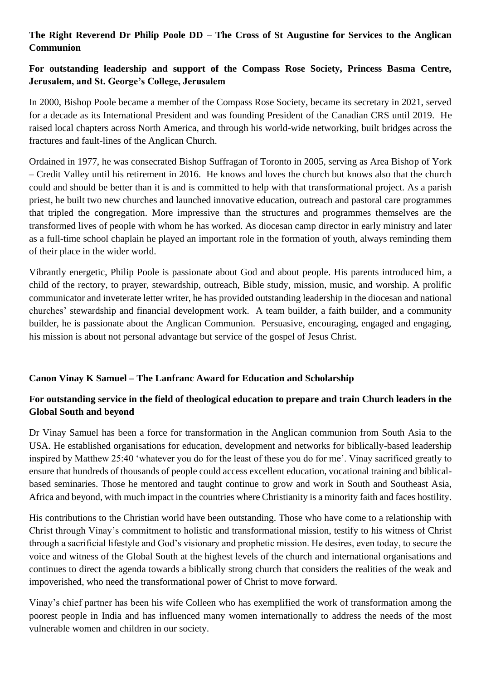# **The Right Reverend Dr Philip Poole DD – The Cross of St Augustine for Services to the Anglican Communion**

# **For outstanding leadership and support of the Compass Rose Society, Princess Basma Centre, Jerusalem, and St. George's College, Jerusalem**

In 2000, Bishop Poole became a member of the Compass Rose Society, became its secretary in 2021, served for a decade as its International President and was founding President of the Canadian CRS until 2019. He raised local chapters across North America, and through his world-wide networking, built bridges across the fractures and fault-lines of the Anglican Church.

Ordained in 1977, he was consecrated Bishop Suffragan of Toronto in 2005, serving as Area Bishop of York – Credit Valley until his retirement in 2016. He knows and loves the church but knows also that the church could and should be better than it is and is committed to help with that transformational project. As a parish priest, he built two new churches and launched innovative education, outreach and pastoral care programmes that tripled the congregation. More impressive than the structures and programmes themselves are the transformed lives of people with whom he has worked. As diocesan camp director in early ministry and later as a full-time school chaplain he played an important role in the formation of youth, always reminding them of their place in the wider world.

Vibrantly energetic, Philip Poole is passionate about God and about people. His parents introduced him, a child of the rectory, to prayer, stewardship, outreach, Bible study, mission, music, and worship. A prolific communicator and inveterate letter writer, he has provided outstanding leadership in the diocesan and national churches' stewardship and financial development work. A team builder, a faith builder, and a community builder, he is passionate about the Anglican Communion. Persuasive, encouraging, engaged and engaging, his mission is about not personal advantage but service of the gospel of Jesus Christ.

## **Canon Vinay K Samuel – The Lanfranc Award for Education and Scholarship**

## **For outstanding service in the field of theological education to prepare and train Church leaders in the Global South and beyond**

Dr Vinay Samuel has been a force for transformation in the Anglican communion from South Asia to the USA. He established organisations for education, development and networks for biblically-based leadership inspired by Matthew 25:40 'whatever you do for the least of these you do for me'. Vinay sacrificed greatly to ensure that hundreds of thousands of people could access excellent education, vocational training and biblicalbased seminaries. Those he mentored and taught continue to grow and work in South and Southeast Asia, Africa and beyond, with much impact in the countries where Christianity is a minority faith and faces hostility.

His contributions to the Christian world have been outstanding. Those who have come to a relationship with Christ through Vinay's commitment to holistic and transformational mission, testify to his witness of Christ through a sacrificial lifestyle and God's visionary and prophetic mission. He desires, even today, to secure the voice and witness of the Global South at the highest levels of the church and international organisations and continues to direct the agenda towards a biblically strong church that considers the realities of the weak and impoverished, who need the transformational power of Christ to move forward.

Vinay's chief partner has been his wife Colleen who has exemplified the work of transformation among the poorest people in India and has influenced many women internationally to address the needs of the most vulnerable women and children in our society.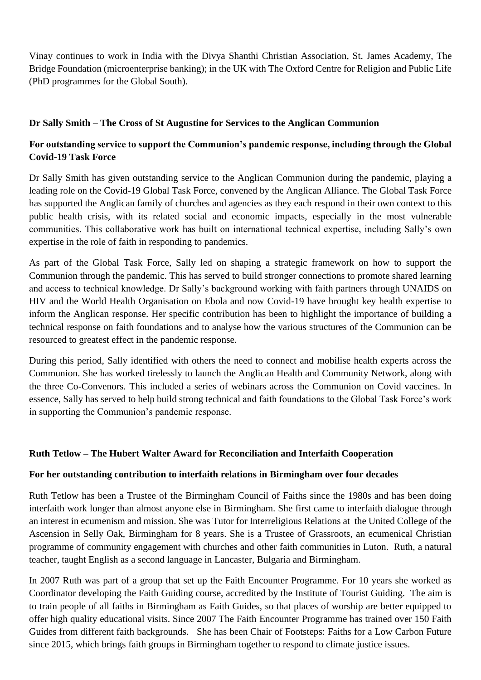Vinay continues to work in India with the Divya Shanthi Christian Association, St. James Academy, The Bridge Foundation (microenterprise banking); in the UK with The Oxford Centre for Religion and Public Life (PhD programmes for the Global South).

## **Dr Sally Smith – The Cross of St Augustine for Services to the Anglican Communion**

## **For outstanding service to support the Communion's pandemic response, including through the Global Covid-19 Task Force**

Dr Sally Smith has given outstanding service to the Anglican Communion during the pandemic, playing a leading role on the Covid-19 Global Task Force, convened by the Anglican Alliance. The Global Task Force has supported the Anglican family of churches and agencies as they each respond in their own context to this public health crisis, with its related social and economic impacts, especially in the most vulnerable communities. This collaborative work has built on international technical expertise, including Sally's own expertise in the role of faith in responding to pandemics.

As part of the Global Task Force, Sally led on shaping a strategic framework on how to support the Communion through the pandemic. This has served to build stronger connections to promote shared learning and access to technical knowledge. Dr Sally's background working with faith partners through UNAIDS on HIV and the World Health Organisation on Ebola and now Covid-19 have brought key health expertise to inform the Anglican response. Her specific contribution has been to highlight the importance of building a technical response on faith foundations and to analyse how the various structures of the Communion can be resourced to greatest effect in the pandemic response.

During this period, Sally identified with others the need to connect and mobilise health experts across the Communion. She has worked tirelessly to launch the Anglican Health and Community Network, along with the three Co-Convenors. This included a series of webinars across the Communion on Covid vaccines. In essence, Sally has served to help build strong technical and faith foundations to the Global Task Force's work in supporting the Communion's pandemic response.

## **Ruth Tetlow – The Hubert Walter Award for Reconciliation and Interfaith Cooperation**

#### **For her outstanding contribution to interfaith relations in Birmingham over four decades**

Ruth Tetlow has been a Trustee of the Birmingham Council of Faiths since the 1980s and has been doing interfaith work longer than almost anyone else in Birmingham. She first came to interfaith dialogue through an interest in ecumenism and mission. She was Tutor for Interreligious Relations at the United College of the Ascension in Selly Oak, Birmingham for 8 years. She is a Trustee of Grassroots, an ecumenical Christian programme of community engagement with churches and other faith communities in Luton. Ruth, a natural teacher, taught English as a second language in Lancaster, Bulgaria and Birmingham.

In 2007 Ruth was part of a group that set up the Faith Encounter Programme. For 10 years she worked as Coordinator developing the Faith Guiding course, accredited by the Institute of Tourist Guiding. The aim is to train people of all faiths in Birmingham as Faith Guides, so that places of worship are better equipped to offer high quality educational visits. Since 2007 The Faith Encounter Programme has trained over 150 Faith Guides from different faith backgrounds. She has been Chair of Footsteps: Faiths for a Low Carbon Future since 2015, which brings faith groups in Birmingham together to respond to climate justice issues.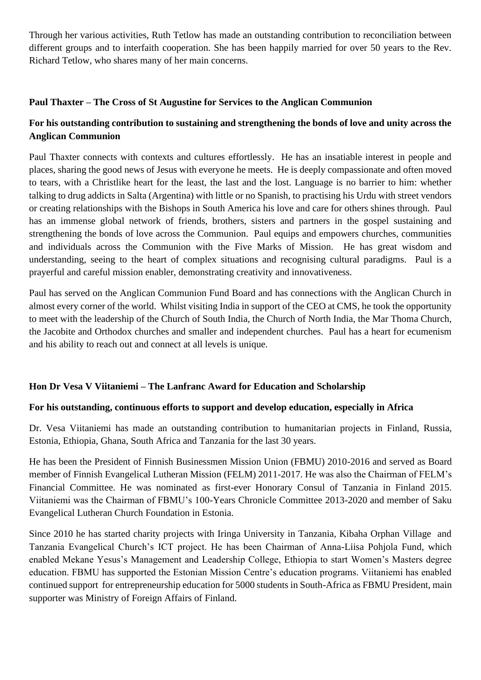Through her various activities, Ruth Tetlow has made an outstanding contribution to reconciliation between different groups and to interfaith cooperation. She has been happily married for over 50 years to the Rev. Richard Tetlow, who shares many of her main concerns.

## **Paul Thaxter – The Cross of St Augustine for Services to the Anglican Communion**

# **For his outstanding contribution to sustaining and strengthening the bonds of love and unity across the Anglican Communion**

Paul Thaxter connects with contexts and cultures effortlessly. He has an insatiable interest in people and places, sharing the good news of Jesus with everyone he meets. He is deeply compassionate and often moved to tears, with a Christlike heart for the least, the last and the lost. Language is no barrier to him: whether talking to drug addicts in Salta (Argentina) with little or no Spanish, to practising his Urdu with street vendors or creating relationships with the Bishops in South America his love and care for others shines through. Paul has an immense global network of friends, brothers, sisters and partners in the gospel sustaining and strengthening the bonds of love across the Communion. Paul equips and empowers churches, communities and individuals across the Communion with the Five Marks of Mission. He has great wisdom and understanding, seeing to the heart of complex situations and recognising cultural paradigms. Paul is a prayerful and careful mission enabler, demonstrating creativity and innovativeness.

Paul has served on the Anglican Communion Fund Board and has connections with the Anglican Church in almost every corner of the world. Whilst visiting India in support of the CEO at CMS, he took the opportunity to meet with the leadership of the Church of South India, the Church of North India, the Mar Thoma Church, the Jacobite and Orthodox churches and smaller and independent churches. Paul has a heart for ecumenism and his ability to reach out and connect at all levels is unique.

## **Hon Dr Vesa V Viitaniemi – The Lanfranc Award for Education and Scholarship**

## **For his outstanding, continuous efforts to support and develop education, especially in Africa**

Dr. Vesa Viitaniemi has made an outstanding contribution to humanitarian projects in Finland, Russia, Estonia, Ethiopia, Ghana, South Africa and Tanzania for the last 30 years.

He has been the President of Finnish Businessmen Mission Union (FBMU) 2010-2016 and served as Board member of Finnish Evangelical Lutheran Mission (FELM) 2011-2017. He was also the Chairman of FELM's Financial Committee. He was nominated as first-ever Honorary Consul of Tanzania in Finland 2015. Viitaniemi was the Chairman of FBMU's 100-Years Chronicle Committee 2013-2020 and member of Saku Evangelical Lutheran Church Foundation in Estonia.

Since 2010 he has started charity projects with Iringa University in Tanzania, Kibaha Orphan Village and Tanzania Evangelical Church's ICT project. He has been Chairman of Anna-Liisa Pohjola Fund, which enabled Mekane Yesus's Management and Leadership College, Ethiopia to start Women's Masters degree education. FBMU has supported the Estonian Mission Centre's education programs. Viitaniemi has enabled continued support for entrepreneurship education for 5000 students in South-Africa as FBMU President, main supporter was Ministry of Foreign Affairs of Finland.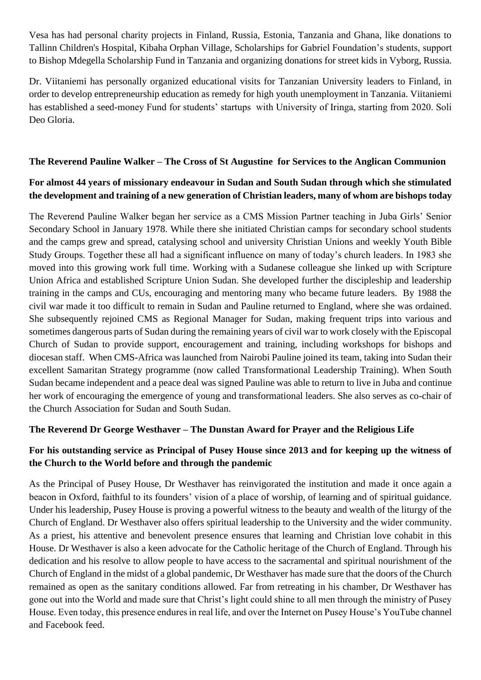Vesa has had personal charity projects in Finland, Russia, Estonia, Tanzania and Ghana, like donations to Tallinn Children's Hospital, Kibaha Orphan Village, Scholarships for Gabriel Foundation's students, support to Bishop Mdegella Scholarship Fund in Tanzania and organizing donations for street kids in Vyborg, Russia.

Dr. Viitaniemi has personally organized educational visits for Tanzanian University leaders to Finland, in order to develop entrepreneurship education as remedy for high youth unemployment in Tanzania. Viitaniemi has established a seed-money Fund for students' startups with University of Iringa, starting from 2020. Soli Deo Gloria.

## **The Reverend Pauline Walker – The Cross of St Augustine for Services to the Anglican Communion**

## **For almost 44 years of missionary endeavour in Sudan and South Sudan through which she stimulated the development and training of a new generation of Christian leaders, many of whom are bishops today**

The Reverend Pauline Walker began her service as a CMS Mission Partner teaching in Juba Girls' Senior Secondary School in January 1978. While there she initiated Christian camps for secondary school students and the camps grew and spread, catalysing school and university Christian Unions and weekly Youth Bible Study Groups. Together these all had a significant influence on many of today's church leaders. In 1983 she moved into this growing work full time. Working with a Sudanese colleague she linked up with Scripture Union Africa and established Scripture Union Sudan. She developed further the discipleship and leadership training in the camps and CUs, encouraging and mentoring many who became future leaders. By 1988 the civil war made it too difficult to remain in Sudan and Pauline returned to England, where she was ordained. She subsequently rejoined CMS as Regional Manager for Sudan, making frequent trips into various and sometimes dangerous parts of Sudan during the remaining years of civil war to work closely with the Episcopal Church of Sudan to provide support, encouragement and training, including workshops for bishops and diocesan staff. When CMS-Africa was launched from Nairobi Pauline joined its team, taking into Sudan their excellent Samaritan Strategy programme (now called Transformational Leadership Training). When South Sudan became independent and a peace deal was signed Pauline was able to return to live in Juba and continue her work of encouraging the emergence of young and transformational leaders. She also serves as co-chair of the Church Association for Sudan and South Sudan.

## **The Reverend Dr George Westhaver – The Dunstan Award for Prayer and the Religious Life**

# **For his outstanding service as Principal of Pusey House since 2013 and for keeping up the witness of the Church to the World before and through the pandemic**

As the Principal of Pusey House, Dr Westhaver has reinvigorated the institution and made it once again a beacon in Oxford, faithful to its founders' vision of a place of worship, of learning and of spiritual guidance. Under his leadership, Pusey House is proving a powerful witness to the beauty and wealth of the liturgy of the Church of England. Dr Westhaver also offers spiritual leadership to the University and the wider community. As a priest, his attentive and benevolent presence ensures that learning and Christian love cohabit in this House. Dr Westhaver is also a keen advocate for the Catholic heritage of the Church of England. Through his dedication and his resolve to allow people to have access to the sacramental and spiritual nourishment of the Church of England in the midst of a global pandemic, Dr Westhaver has made sure that the doors of the Church remained as open as the sanitary conditions allowed. Far from retreating in his chamber, Dr Westhaver has gone out into the World and made sure that Christ's light could shine to all men through the ministry of Pusey House. Even today, this presence endures in real life, and over the Internet on Pusey House's YouTube channel and Facebook feed.